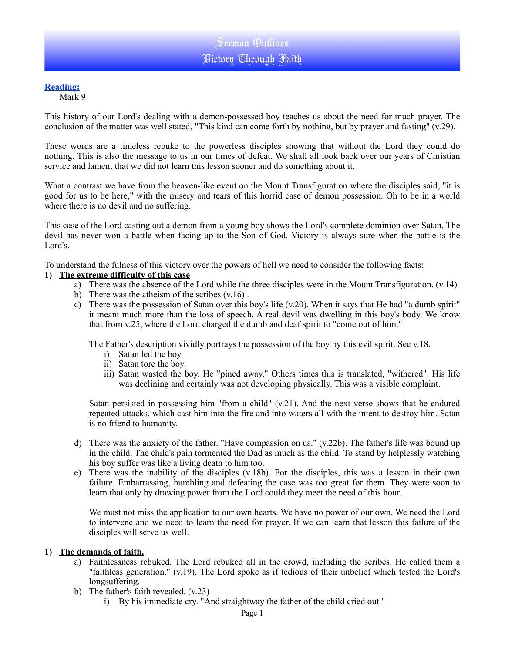## **Reading:**

Mark 9

This history of our Lord's dealing with a demon-possessed boy teaches us about the need for much prayer. The conclusion of the matter was well stated, "This kind can come forth by nothing, but by prayer and fasting" (v.29).

These words are a timeless rebuke to the powerless disciples showing that without the Lord they could do nothing. This is also the message to us in our times of defeat. We shall all look back over our years of Christian service and lament that we did not learn this lesson sooner and do something about it.

What a contrast we have from the heaven-like event on the Mount Transfiguration where the disciples said, "it is good for us to be here," with the misery and tears of this horrid case of demon possession. Oh to be in a world where there is no devil and no suffering.

This case of the Lord casting out a demon from a young boy shows the Lord's complete dominion over Satan. The devil has never won a battle when facing up to the Son of God. Victory is always sure when the battle is the Lord's.

To understand the fulness of this victory over the powers of hell we need to consider the following facts:

### **1) The extreme difficulty of this case**

- a) There was the absence of the Lord while the three disciples were in the Mount Transfiguration. (v.14)
- b) There was the atheism of the scribes  $(v.16)$ .
- c) There was the possession of Satan over this boy's life (v.20). When it says that He had "a dumb spirit" it meant much more than the loss of speech. A real devil was dwelling in this boy's body. We know that from v.25, where the Lord charged the dumb and deaf spirit to "come out of him."

The Father's description vividly portrays the possession of the boy by this evil spirit. See v.18.

- i) Satan led the boy.
- ii) Satan tore the boy.
- iii) Satan wasted the boy. He "pined away." Others times this is translated, "withered". His life was declining and certainly was not developing physically. This was a visible complaint.

Satan persisted in possessing him "from a child" (v.21). And the next verse shows that he endured repeated attacks, which cast him into the fire and into waters all with the intent to destroy him. Satan is no friend to humanity.

- d) There was the anxiety of the father. "Have compassion on us." (v.22b). The father's life was bound up in the child. The child's pain tormented the Dad as much as the child. To stand by helplessly watching his boy suffer was like a living death to him too.
- e) There was the inability of the disciples (v.18b). For the disciples, this was a lesson in their own failure. Embarrassing, humbling and defeating the case was too great for them. They were soon to learn that only by drawing power from the Lord could they meet the need of this hour.

We must not miss the application to our own hearts. We have no power of our own. We need the Lord to intervene and we need to learn the need for prayer. If we can learn that lesson this failure of the disciples will serve us well.

### **1) The demands of faith.**

- a) Faithlessness rebuked. The Lord rebuked all in the crowd, including the scribes. He called them a "faithless generation." (v.19). The Lord spoke as if tedious of their unbelief which tested the Lord's longsuffering.
- b) The father's faith revealed. (v.23)
	- i) By his immediate cry. "And straightway the father of the child cried out."